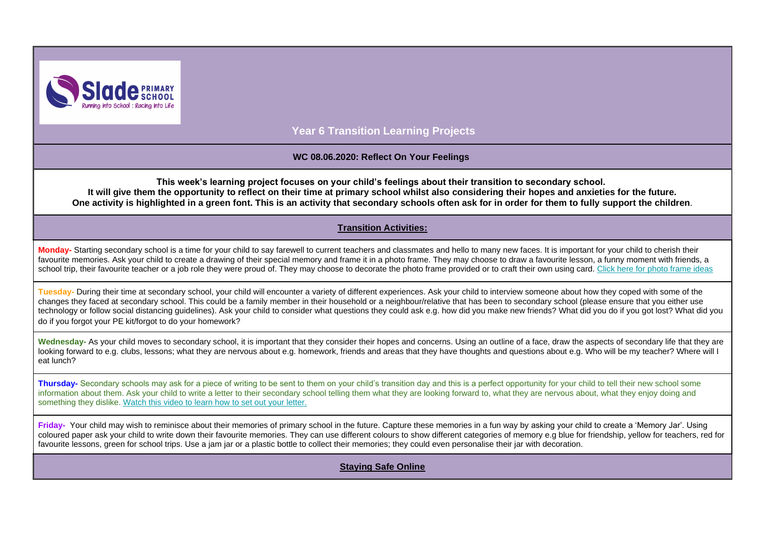

**Year 6 Transition Learning Projects**

#### **WC 08.06.2020: Reflect On Your Feelings**

**This week's learning project focuses on your child's feelings about their transition to secondary school. It will give them the opportunity to reflect on their time at primary school whilst also considering their hopes and anxieties for the future. One activity is highlighted in a green font. This is an activity that secondary schools often ask for in order for them to fully support the children**.

#### **Transition Activities:**

Monday-Starting secondary school is a time for your child to say farewell to current teachers and classmates and hello to many new faces. It is important for your child to cherish their favourite memories. Ask your child to create a drawing of their special memory and frame it in a photo frame. They may choose to draw a favourite lesson, a funny moment with friends, a school trip, their favourite teacher or a job role they were proud of. They may choose to decorate the photo frame provided or to craft their own using card. [Click here for photo frame ideas](https://safeyoutube.net/w/DegE)

**Tuesday-** During their time at secondary school, your child will encounter a variety of different experiences. Ask your child to interview someone about how they coped with some of the changes they faced at secondary school. This could be a family member in their household or a neighbour/relative that has been to secondary school (please ensure that you either use technology or follow social distancing guidelines). Ask your child to consider what questions they could ask e.g. how did you make new friends? What did you do if you got lost? What did you do if you forgot your PE kit/forgot to do your homework?

Wednesday- As your child moves to secondary school, it is important that they consider their hopes and concerns. Using an outline of a face, draw the aspects of secondary life that they are looking forward to e.g. clubs, lessons; what they are nervous about e.g. homework, friends and areas that they have thoughts and questions about e.g. Who will be my teacher? Where will I eat lunch?

**Thursday-** Secondary schools may ask for a piece of writing to be sent to them on your child's transition day and this is a perfect opportunity for your child to tell their new school some information about them. Ask your child to write a letter to their secondary school telling them what they are looking forward to, what they are nervous about, what they enjoy doing and something they dislike. [Watch this video to learn how to set out your letter.](https://safeyoutube.net/w/DYxE)

Friday- Your child may wish to reminisce about their memories of primary school in the future. Capture these memories in a fun way by asking your child to create a 'Memory Jar'. Using coloured paper ask your child to write down their favourite memories. They can use different colours to show different categories of memory e.g blue for friendship, yellow for teachers, red for favourite lessons, green for school trips. Use a jam jar or a plastic bottle to collect their memories; they could even personalise their jar with decoration.

**Staying Safe Online**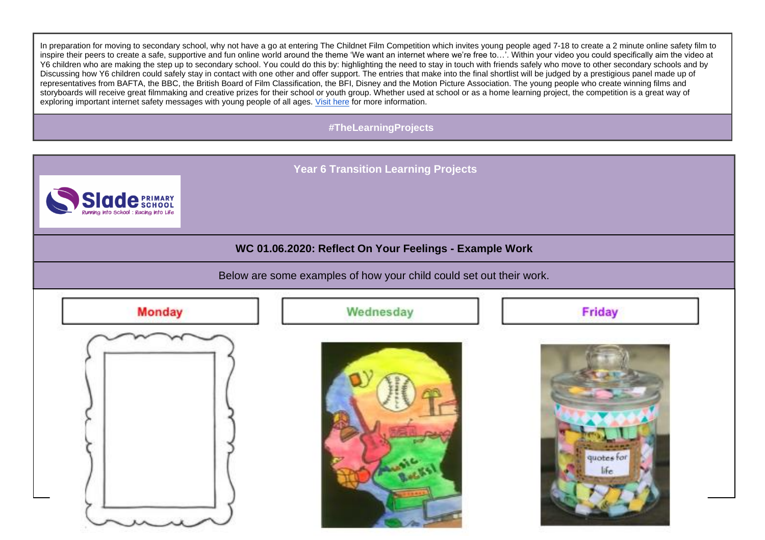In preparation for moving to secondary school, why not have a go at entering The Childnet Film Competition which invites young people aged 7-18 to create a 2 minute online safety film to inspire their peers to create a safe, supportive and fun online world around the theme 'We want an internet where we're free to…'. Within your video you could specifically aim the video at Y6 children who are making the step up to secondary school. You could do this by: highlighting the need to stay in touch with friends safely who move to other secondary schools and by Discussing how Y6 children could safely stay in contact with one other and offer support. The entries that make into the final shortlist will be judged by a prestigious panel made up of representatives from BAFTA, the BBC, the British Board of Film Classification, the BFI, Disney and the Motion Picture Association. The young people who create winning films and storyboards will receive great filmmaking and creative prizes for their school or youth group. Whether used at school or as a home learning project, the competition is a great way of exploring important internet safety messages with young people of all ages. [Visit here](http://www.childnet.com/filmcomp) for more information.

### **#TheLearningProjects**